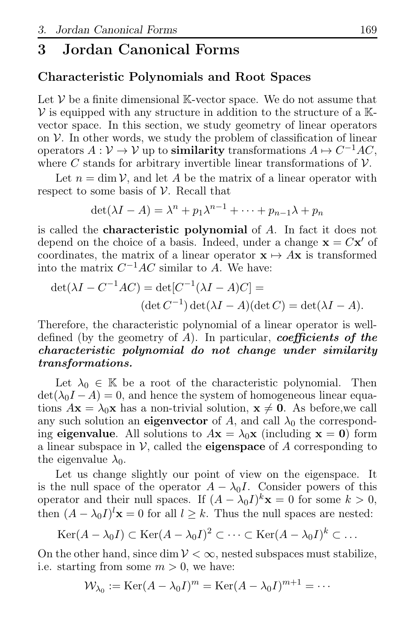# 3 Jordan Canonical Forms

## Characteristic Polynomials and Root Spaces

Let  $V$  be a finite dimensional K-vector space. We do not assume that  $V$  is equipped with any structure in addition to the structure of a  $K$ vector space. In this section, we study geometry of linear operators on  $V$ . In other words, we study the problem of classification of linear operators  $A: \mathcal{V} \to \mathcal{V}$  up to **similarity** transformations  $A \mapsto C^{-1}AC$ , where C stands for arbitrary invertible linear transformations of  $V$ .

Let  $n = \dim V$ , and let A be the matrix of a linear operator with respect to some basis of  $\mathcal V$ . Recall that

$$
\det(\lambda I - A) = \lambda^n + p_1 \lambda^{n-1} + \dots + p_{n-1} \lambda + p_n
$$

is called the characteristic polynomial of A. In fact it does not depend on the choice of a basis. Indeed, under a change  $\mathbf{x} = C\mathbf{x}'$  of coordinates, the matrix of a linear operator  $\mathbf{x} \mapsto A\mathbf{x}$  is transformed into the matrix  $C^{-1}AC$  similar to A. We have:

$$
\det(\lambda I - C^{-1}AC) = \det[C^{-1}(\lambda I - A)C] =
$$
  
\n
$$
(\det C^{-1}) \det(\lambda I - A)(\det C) = \det(\lambda I - A).
$$

Therefore, the characteristic polynomial of a linear operator is welldefined (by the geometry of  $A$ ). In particular, **coefficients of the** characteristic polynomial do not change under similarity transformations.

Let  $\lambda_0 \in \mathbb{K}$  be a root of the characteristic polynomial. Then  $\det(\lambda_0 I - A) = 0$ , and hence the system of homogeneous linear equations  $A\mathbf{x} = \lambda_0\mathbf{x}$  has a non-trivial solution,  $\mathbf{x} \neq \mathbf{0}$ . As before, we call any such solution an eigenvector of A, and call  $\lambda_0$  the corresponding eigenvalue. All solutions to  $A\mathbf{x} = \lambda_0\mathbf{x}$  (including  $\mathbf{x} = \mathbf{0}$ ) form a linear subspace in  $\mathcal V$ , called the **eigenspace** of A corresponding to the eigenvalue  $\lambda_0$ .

Let us change slightly our point of view on the eigenspace. It is the null space of the operator  $A - \lambda_0 I$ . Consider powers of this operator and their null spaces. If  $(A - \lambda_0 I)^k \mathbf{x} = 0$  for some  $k > 0$ , then  $(A - \lambda_0 I)^l \mathbf{x} = 0$  for all  $l \geq k$ . Thus the null spaces are nested:

$$
Ker(A - \lambda_0 I) \subset Ker(A - \lambda_0 I)^2 \subset \cdots \subset Ker(A - \lambda_0 I)^k \subset \dots
$$

On the other hand, since dim  $V < \infty$ , nested subspaces must stabilize, i.e. starting from some  $m > 0$ , we have:

$$
W_{\lambda_0} := \text{Ker}(A - \lambda_0 I)^m = \text{Ker}(A - \lambda_0 I)^{m+1} = \cdots
$$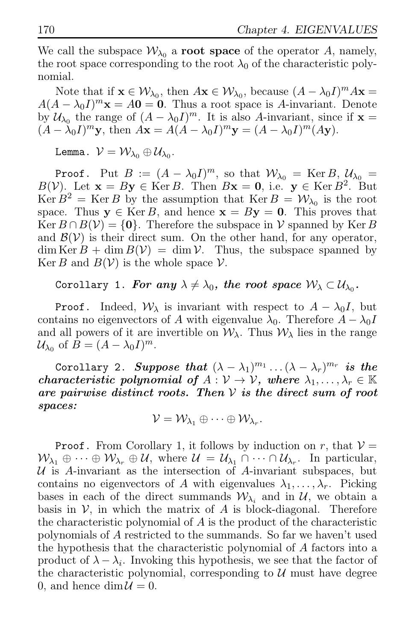We call the subspace  $\mathcal{W}_{\lambda_0}$  a **root space** of the operator A, namely, the root space corresponding to the root  $\lambda_0$  of the characteristic polynomial.

Note that if  $\mathbf{x} \in \mathcal{W}_{\lambda_0}$ , then  $A\mathbf{x} \in \mathcal{W}_{\lambda_0}$ , because  $(A - \lambda_0 I)^m A\mathbf{x} =$  $A(A - \lambda_0 I)^m$ **x** =  $A0 = 0$ . Thus a root space is A-invariant. Denote by  $\mathcal{U}_{\lambda_0}$  the range of  $(A - \lambda_0 I)^m$ . It is also A-invariant, since if  $\mathbf{x} =$  $(A - \lambda_0 I)^m$ **y**, then  $A\mathbf{x} = A(A - \lambda_0 I)^m \mathbf{y} = (A - \lambda_0 I)^m (A\mathbf{y}).$ 

Lemma.  $\mathcal{V} = \mathcal{W}_{\lambda_0} \oplus \mathcal{U}_{\lambda_0}$ .

**Proof.** Put  $B := (A - \lambda_0 I)^m$ , so that  $W_{\lambda_0} = \text{Ker } B$ ,  $U_{\lambda_0} =$  $B(V)$ . Let  $\mathbf{x} = By \in \text{Ker } B$ . Then  $B\mathbf{x} = \mathbf{0}$ , i.e.  $\mathbf{y} \in \text{Ker } B^2$ . But  $\text{Ker } B^2 = \text{Ker } B$  by the assumption that  $\text{Ker } B = \mathcal{W}_{\lambda_0}$  is the root space. Thus  $y \in \text{Ker } B$ , and hence  $x = By = 0$ . This proves that  $\text{Ker } B \cap B(V) = \{0\}.$  Therefore the subspace in V spanned by  $\text{Ker } B$ and  $\mathcal{B}(V)$  is their direct sum. On the other hand, for any operator,  $\dim \text{Ker } B + \dim B(V) = \dim V$ . Thus, the subspace spanned by Ker B and  $B(V)$  is the whole space V.

# Corollary 1. For any  $\lambda \neq \lambda_0,$  the root space  $\mathcal{W}_\lambda \subset \mathcal{U}_{\lambda_0}.$

**Proof.** Indeed,  $W_{\lambda}$  is invariant with respect to  $A - \lambda_0 I$ , but contains no eigenvectors of A with eigenvalue  $\lambda_0$ . Therefore  $A - \lambda_0 I$ and all powers of it are invertible on  $\mathcal{W}_{\lambda}$ . Thus  $\mathcal{W}_{\lambda}$  lies in the range  $\mathcal{U}_{\lambda_0}$  of  $B = (A - \lambda_0 I)^m$ .

Corollary 2. Suppose that  $(\lambda - \lambda_1)^{m_1} \dots (\lambda - \lambda_r)^{m_r}$  is the characteristic polynomial of  $A: V \to V$ , where  $\lambda_1, \ldots, \lambda_r \in \mathbb{K}$ are pairwise distinct roots. Then  $V$  is the direct sum of root spaces:

$$
\mathcal{V} = \mathcal{W}_{\lambda_1} \oplus \cdots \oplus \mathcal{W}_{\lambda_r}.
$$

**Proof.** From Corollary 1, it follows by induction on r, that  $V =$  $\mathcal{W}_{\lambda_1} \oplus \cdots \oplus \mathcal{W}_{\lambda_r} \oplus \mathcal{U}, \text{ where } \mathcal{U} = \mathcal{U}_{\lambda_1} \cap \cdots \cap \mathcal{U}_{\lambda_r}.$  In particular, U is A-invariant as the intersection of A-invariant subspaces, but contains no eigenvectors of A with eigenvalues  $\lambda_1, \ldots, \lambda_r$ . Picking bases in each of the direct summands  $W_{\lambda_i}$  and in U, we obtain a basis in  $V$ , in which the matrix of A is block-diagonal. Therefore the characteristic polynomial of  $A$  is the product of the characteristic polynomials of A restricted to the summands. So far we haven't used the hypothesis that the characteristic polynomial of A factors into a product of  $\lambda - \lambda_i$ . Invoking this hypothesis, we see that the factor of the characteristic polynomial, corresponding to  $\mathcal{U}$  must have degree 0, and hence  $\dim \mathcal{U} = 0$ .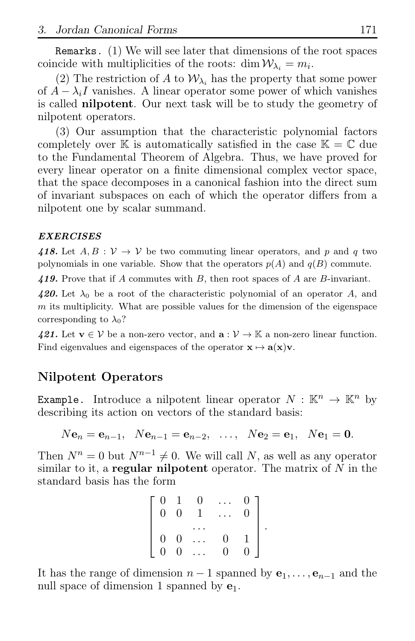Remarks. (1) We will see later that dimensions of the root spaces coincide with multiplicities of the roots:  $\dim \mathcal{W}_{\lambda_i} = m_i$ .

(2) The restriction of A to  $\mathcal{W}_{\lambda_i}$  has the property that some power of  $A - \lambda_i I$  vanishes. A linear operator some power of which vanishes is called nilpotent. Our next task will be to study the geometry of nilpotent operators.

(3) Our assumption that the characteristic polynomial factors completely over K is automatically satisfied in the case  $K = \mathbb{C}$  due to the Fundamental Theorem of Algebra. Thus, we have proved for every linear operator on a finite dimensional complex vector space, that the space decomposes in a canonical fashion into the direct sum of invariant subspaces on each of which the operator differs from a nilpotent one by scalar summand.

### EXERCISES

418. Let  $A, B : V \to V$  be two commuting linear operators, and p and q two polynomials in one variable. Show that the operators  $p(A)$  and  $q(B)$  commute.

419. Prove that if A commutes with  $B$ , then root spaces of A are  $B$ -invariant.

420. Let  $\lambda_0$  be a root of the characteristic polynomial of an operator A, and  $m$  its multiplicity. What are possible values for the dimension of the eigenspace corresponding to  $\lambda_0$ ?

421. Let  $\mathbf{v} \in \mathcal{V}$  be a non-zero vector, and  $\mathbf{a}: \mathcal{V} \to \mathbb{K}$  a non-zero linear function. Find eigenvalues and eigenspaces of the operator  $\mathbf{x} \mapsto \mathbf{a}(\mathbf{x})\mathbf{v}$ .

# Nilpotent Operators

**Example.** Introduce a nilpotent linear operator  $N : \mathbb{K}^n \to \mathbb{K}^n$  by describing its action on vectors of the standard basis:

$$
Ne_n = e_{n-1}, Ne_{n-1} = e_{n-2}, ..., Ne_{2} = e_{1}, Ne_{1} = 0.
$$

Then  $N^n = 0$  but  $N^{n-1} \neq 0$ . We will call N, as well as any operator similar to it, a **regular nilpotent** operator. The matrix of  $N$  in the standard basis has the form

| $\begin{matrix} 0 \\ 0 \end{matrix}$ | 1                                    | $^{(1)}$ |                | $\mathbf{0}$   |  |
|--------------------------------------|--------------------------------------|----------|----------------|----------------|--|
|                                      | $\overline{0}$                       |          |                | $\overline{0}$ |  |
|                                      |                                      |          |                |                |  |
|                                      |                                      |          | $\overline{0}$ | 1              |  |
| $\begin{matrix}0\\0\end{matrix}$     | $\begin{matrix} 0 \\ 0 \end{matrix}$ |          | $\overline{0}$ | $\overline{0}$ |  |

It has the range of dimension  $n-1$  spanned by  $e_1, \ldots, e_{n-1}$  and the null space of dimension 1 spanned by  $e_1$ .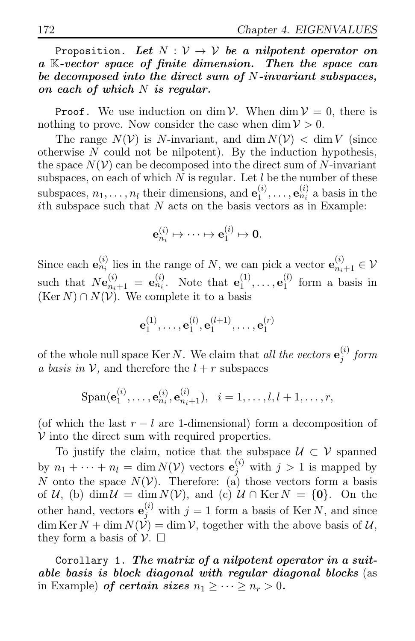Proposition. Let  $N : V \rightarrow V$  be a nilpotent operator on a K-vector space of finite dimension. Then the space can be decomposed into the direct sum of N-invariant subspaces, on each of which  $N$  is regular.

**Proof.** We use induction on dim  $V$ . When dim  $V = 0$ , there is nothing to prove. Now consider the case when  $\dim V > 0$ .

The range  $N(V)$  is N-invariant, and dim  $N(V) < \dim V$  (since otherwise  $N$  could not be nilpotent). By the induction hypothesis, the space  $N(\mathcal{V})$  can be decomposed into the direct sum of N-invariant subspaces, on each of which  $N$  is regular. Let  $l$  be the number of these subspaces,  $n_1, \ldots, n_l$  their dimensions, and  $\mathbf{e}_1^{(i)}$  $\mathbf{e}_1^{(i)}, \ldots, \mathbf{e}_{n_i}^{(i)}$  a basis in the ith subspace such that  $N$  acts on the basis vectors as in Example:

$$
\mathbf{e}_{n_i}^{(i)} \mapsto \cdots \mapsto \mathbf{e}_1^{(i)} \mapsto \mathbf{0}.
$$

Since each  $\mathbf{e}_{n_i}^{(i)}$  lies in the range of N, we can pick a vector  $\mathbf{e}_{n_i+1}^{(i)} \in \mathcal{V}$ such that  $N\mathbf{e}_{n_i+1}^{(i)} = \mathbf{e}_{n_i}^{(i)}$ . Note that  $\mathbf{e}_1^{(1)}$  $\mathbf{e}_1^{(1)},\ldots,\mathbf{e}_1^{(l)}$  $i^{\prime}$  form a basis in  $(Ker N) \cap N(V)$ . We complete it to a basis

$$
\mathbf{e}_1^{(1)},\dots,\mathbf{e}_1^{(l)},\mathbf{e}_1^{(l+1)},\dots,\mathbf{e}_1^{(r)}
$$

of the whole null space Ker N. We claim that all the vectors  $\mathbf{e}_i^{(i)}$  $_{j}^{\left( \imath\right) }$  form a basis in  $\mathcal V$ , and therefore the  $l + r$  subspaces

$$
\mathrm{Span}(\mathbf{e}_1^{(i)}, \dots, \mathbf{e}_{n_i}^{(i)}, \mathbf{e}_{n_i+1}^{(i)}), \ \ i = 1, \dots, l, l+1, \dots, r,
$$

(of which the last  $r - l$  are 1-dimensional) form a decomposition of  $V$  into the direct sum with required properties.

To justify the claim, notice that the subspace  $\mathcal{U} \subset \mathcal{V}$  spanned by  $n_1 + \cdots + n_l = \dim N(\mathcal{V})$  vectors  $\mathbf{e}_j^{(i)}$  with  $j > 1$  is mapped by N onto the space  $N(V)$ . Therefore: (a) those vectors form a basis of U, (b) dim  $U = \dim N(V)$ , and (c)  $U \cap \text{Ker } N = \{0\}$ . On the other hand, vectors  $\mathbf{e}_j^{(i)}$  with  $j = 1$  form a basis of Ker N, and since  $\dim \text{Ker } N + \dim N(\check{\mathcal{V}}) = \dim \mathcal{V}$ , together with the above basis of  $\mathcal{U}$ . they form a basis of  $\mathcal{V}$ .  $\Box$ 

Corollary 1. The matrix of a nilpotent operator in a suitable basis is block diagonal with regular diagonal blocks (as in Example) of certain sizes  $n_1 \geq \cdots \geq n_r > 0$ .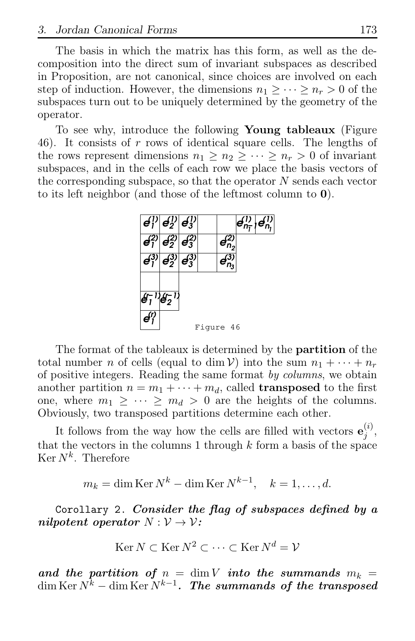The basis in which the matrix has this form, as well as the decomposition into the direct sum of invariant subspaces as described in Proposition, are not canonical, since choices are involved on each step of induction. However, the dimensions  $n_1 > \cdots > n_r > 0$  of the subspaces turn out to be uniquely determined by the geometry of the operator.

To see why, introduce the following Young tableaux (Figure 46). It consists of  $r$  rows of identical square cells. The lengths of the rows represent dimensions  $n_1 \geq n_2 \geq \cdots \geq n_r > 0$  of invariant subspaces, and in the cells of each row we place the basis vectors of the corresponding subspace, so that the operator  $N$  sends each vector to its left neighbor (and those of the leftmost column to 0).



The format of the tableaux is determined by the partition of the total number n of cells (equal to dim V) into the sum  $n_1 + \cdots + n_r$ of positive integers. Reading the same format by columns, we obtain another partition  $n = m_1 + \cdots + m_d$ , called **transposed** to the first one, where  $m_1 \geq \cdots \geq m_d > 0$  are the heights of the columns. Obviously, two transposed partitions determine each other.

It follows from the way how the cells are filled with vectors  $\mathbf{e}_i^{(i)}$  $\frac{i}{j}$ , that the vectors in the columns 1 through  $k$  form a basis of the space  $\mathrm{Ker}\,N^k$ . Therefore

$$
m_k = \dim \operatorname{Ker} N^k - \dim \operatorname{Ker} N^{k-1}, \quad k = 1, \dots, d.
$$

Corollary 2. Consider the flag of subspaces defined by a nilpotent operator  $N: \mathcal{V} \to \mathcal{V}$ :

$$
Ker N \subset \operatorname{Ker} N^2 \subset \cdots \subset \operatorname{Ker} N^d = \mathcal{V}
$$

and the partition of  $n = \dim V$  into the summands  $m_k =$  $\dim \operatorname{Ker} N^k-\dim \operatorname{Ker} N^{k-1}$ . The summands of the transposed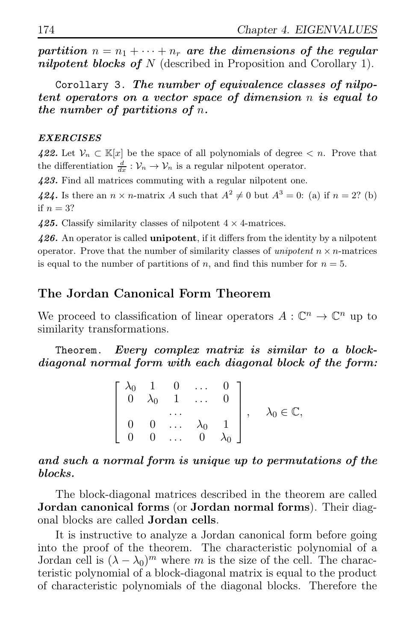partition  $n = n_1 + \cdots + n_r$  are the dimensions of the regular nilpotent blocks of N (described in Proposition and Corollary 1).

Corollary 3. The number of equivalence classes of nilpotent operators on a vector space of dimension n is equal to the number of partitions of n.

### EXERCISES

422. Let  $\mathcal{V}_n \subset \mathbb{K}[x]$  be the space of all polynomials of degree  $\lt n$ . Prove that the differentiation  $\frac{d}{dx}$ :  $\mathcal{V}_n \to \mathcal{V}_n$  is a regular nilpotent operator.

423. Find all matrices commuting with a regular nilpotent one.

424. Is there an  $n \times n$ -matrix A such that  $A^2 \neq 0$  but  $A^3 = 0$ : (a) if  $n = 2$ ? (b) if  $n = 3$ ?

425. Classify similarity classes of nilpotent  $4 \times 4$ -matrices.

426. An operator is called **unipotent**, if it differs from the identity by a nilpotent operator. Prove that the number of similarity classes of unipotent  $n \times n$ -matrices is equal to the number of partitions of n, and find this number for  $n = 5$ .

# The Jordan Canonical Form Theorem

We proceed to classification of linear operators  $A: \mathbb{C}^n \to \mathbb{C}^n$  up to similarity transformations.

Theorem. Every complex matrix is similar to a blockdiagonal normal form with each diagonal block of the form:

$$
\begin{bmatrix}\n\lambda_0 & 1 & 0 & \dots & 0 \\
0 & \lambda_0 & 1 & \dots & 0 \\
\vdots & \vdots & \ddots & \vdots & \vdots \\
0 & 0 & \dots & \lambda_0 & 1 \\
0 & 0 & \dots & 0 & \lambda_0\n\end{bmatrix}, \quad \lambda_0 \in \mathbb{C},
$$

### and such a normal form is unique up to permutations of the blocks.

The block-diagonal matrices described in the theorem are called Jordan canonical forms (or Jordan normal forms). Their diagonal blocks are called Jordan cells.

It is instructive to analyze a Jordan canonical form before going into the proof of the theorem. The characteristic polynomial of a Jordan cell is  $(\lambda - \lambda_0)^m$  where m is the size of the cell. The characteristic polynomial of a block-diagonal matrix is equal to the product of characteristic polynomials of the diagonal blocks. Therefore the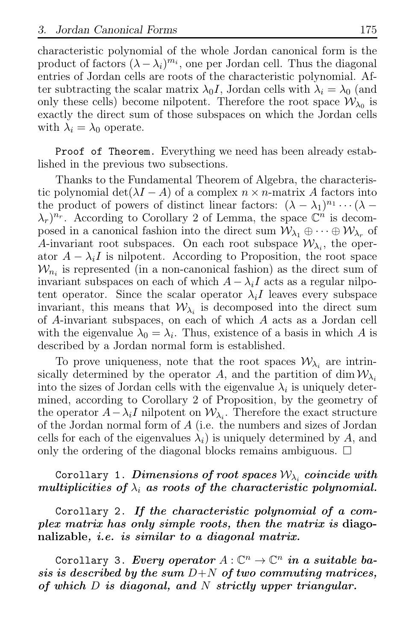characteristic polynomial of the whole Jordan canonical form is the product of factors  $(\lambda - \lambda_i)^{m_i}$ , one per Jordan cell. Thus the diagonal entries of Jordan cells are roots of the characteristic polynomial. After subtracting the scalar matrix  $\lambda_0 I$ , Jordan cells with  $\lambda_i = \lambda_0$  (and only these cells) become nilpotent. Therefore the root space  $\mathcal{W}_{\lambda_0}$  is exactly the direct sum of those subspaces on which the Jordan cells with  $\lambda_i = \lambda_0$  operate.

Proof of Theorem. Everything we need has been already established in the previous two subsections.

Thanks to the Fundamental Theorem of Algebra, the characteristic polynomial det( $\lambda I - A$ ) of a complex  $n \times n$ -matrix A factors into the product of powers of distinct linear factors:  $(\lambda - \lambda_1)^{n_1} \cdots (\lambda - \lambda_n)^{n_n}$  $(\lambda_r)^{n_r}$ . According to Corollary 2 of Lemma, the space  $\mathbb{C}^n$  is decomposed in a canonical fashion into the direct sum  $\mathcal{W}_{\lambda_1} \oplus \cdots \oplus \mathcal{W}_{\lambda_r}$  of A-invariant root subspaces. On each root subspace  $\mathcal{W}_{\lambda_i}$ , the operator  $A - \lambda_i I$  is nilpotent. According to Proposition, the root space  $W_{n_i}$  is represented (in a non-canonical fashion) as the direct sum of invariant subspaces on each of which  $A - \lambda_i I$  acts as a regular nilpotent operator. Since the scalar operator  $\lambda_i I$  leaves every subspace invariant, this means that  $W_{\lambda_i}$  is decomposed into the direct sum of A-invariant subspaces, on each of which A acts as a Jordan cell with the eigenvalue  $\lambda_0 = \lambda_i$ . Thus, existence of a basis in which A is described by a Jordan normal form is established.

To prove uniqueness, note that the root spaces  $\mathcal{W}_{\lambda_i}$  are intrinsically determined by the operator A, and the partition of dim  $\mathcal{W}_{\lambda_i}$ into the sizes of Jordan cells with the eigenvalue  $\lambda_i$  is uniquely determined, according to Corollary 2 of Proposition, by the geometry of the operator  $A - \lambda_i I$  nilpotent on  $W_{\lambda_i}$ . Therefore the exact structure of the Jordan normal form of  $A$  (i.e. the numbers and sizes of Jordan cells for each of the eigenvalues  $\lambda_i$  is uniquely determined by A, and only the ordering of the diagonal blocks remains ambiguous.  $\Box$ 

# $\text{Corollary 1.}$  Dimensions of root spaces  $\mathcal{W}_{\lambda_i}$  coincide with multiplicities of  $\lambda_i$  as roots of the characteristic polynomial.

Corollary 2. If the characteristic polynomial of a complex matrix has only simple roots, then the matrix is diagonalizable, *i.e.* is similar to a diagonal matrix.

Corollary 3. Every operator  $A: \mathbb{C}^n \to \mathbb{C}^n$  in a suitable basis is described by the sum  $D+N$  of two commuting matrices, of which D is diagonal, and N strictly upper triangular.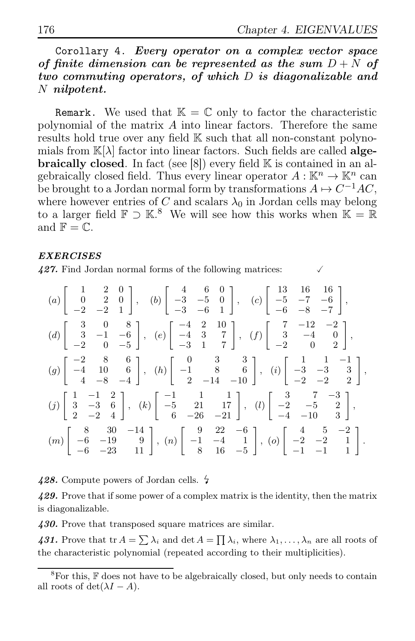# Corollary 4. Every operator on a complex vector space of finite dimension can be represented as the sum  $D + N$  of two commuting operators, of which D is diagonalizable and N nilpotent.

**Remark.** We used that  $\mathbb{K} = \mathbb{C}$  only to factor the characteristic polynomial of the matrix  $\vec{A}$  into linear factors. Therefore the same results hold true over any field  $\mathbb K$  such that all non-constant polynomials from  $\mathbb{K}[\lambda]$  factor into linear factors. Such fields are called **algebraically closed**. In fact (see  $[8]$ ) every field  $\mathbb{K}$  is contained in an algebraically closed field. Thus every linear operator  $A: \mathbb{K}^n \to \mathbb{K}^n$  can be brought to a Jordan normal form by transformations  $A \mapsto C^{-1}AC$ , where however entries of C and scalars  $\lambda_0$  in Jordan cells may belong to a larger field  $\mathbb{F} \supset \mathbb{K}^8$ . We will see how this works when  $\mathbb{K} = \mathbb{R}$ and  $\mathbb{F} = \mathbb{C}$ .

### EXERCISES

427. Find Jordan normal forms of the following matrices:

| $(a)\left[\begin{array}{ccc} 1 & 2 & 0\\ 0 & 2 & 0\\ -2 & -2 & 1 \end{array}\right],\quad (b)\left[\begin{array}{ccc} 4 & 6 & 0\\ -3 & -5 & 0\\ -3 & -6 & 1 \end{array}\right],\quad (c)\left[\begin{array}{ccc} 13 & 16 & 16\\ -5 & -7 & -6\\ -6 & -8 & -7 \end{array}\right],$         |  |
|------------------------------------------------------------------------------------------------------------------------------------------------------------------------------------------------------------------------------------------------------------------------------------------|--|
| $(d) \left[\begin{array}{cccc} 3 & 0 & 8 \\ 3 & -1 & -6 \\ -2 & 0 & -5 \end{array}\right], \ \ (e) \left[\begin{array}{cccc} -4 & 2 & 10 \\ -4 & 3 & 7 \\ -3 & 1 & 7 \end{array}\right], \ \ (f) \left[\begin{array}{cccc} 7 & -12 & -2 \\ 3 & -4 & 0 \\ -2 & 0 & 2 \end{array}\right],$ |  |
| $(g)\left[\begin{array}{cccc} -2 & 8 & 6 \\ -4 & 10 & 6 \\ 4 & -8 & -4 \end{array}\right],\ \ (h)\left[\begin{array}{cccc} 0 & 3 & 3 \\ -1 & 8 & 6 \\ 2 & -14 & -10 \end{array}\right],\ \ (i)\left[\begin{array}{cccc} 1 & 1 & -1 \\ -3 & -3 & 3 \\ -2 & -2 & 2 \end{array}\right],$    |  |
| $(j)\left[\begin{array}{rrr} 1 & -1 & 2 \\ 3 & -3 & 6 \\ 2 & -2 & 4 \end{array}\right], (k)\left[\begin{array}{rrr} -1 & 1 & 1 \\ -5 & 21 & 17 \\ 6 & -26 & -21 \end{array}\right], (l)\left[\begin{array}{rrr} 3 & 7 & -3 \\ -2 & -5 & 2 \\ -4 & -10 & 3 \end{array}\right],$           |  |
| $(m)\left[\begin{array}{ccc} 8 & 30 & -14 \\ -6 & -19 & 9 \\ -6 & -23 & 11 \end{array}\right],\ (n)\left[\begin{array}{ccc} 9 & 22 & -6 \\ -1 & -4 & 1 \\ 8 & 16 & -5 \end{array}\right],\ (o)\left[\begin{array}{ccc} 4 & 5 & -2 \\ -2 & -2 & 1 \\ -1 & -1 & 1 \end{array}\right].$     |  |

428. Compute powers of Jordan cells.  $\frac{1}{2}$ 

429. Prove that if some power of a complex matrix is the identity, then the matrix is diagonalizable.

430. Prove that transposed square matrices are similar.

431. Prove that tr  $A = \sum_i \lambda_i$  and det  $A = \prod_i \lambda_i$ , where  $\lambda_1, \ldots, \lambda_n$  are all roots of the characteristic polynomial (repeated according to their multiplicities).

 ${}^{8}$ For this,  $\mathbb F$  does not have to be algebraically closed, but only needs to contain all roots of det( $\lambda I - A$ ).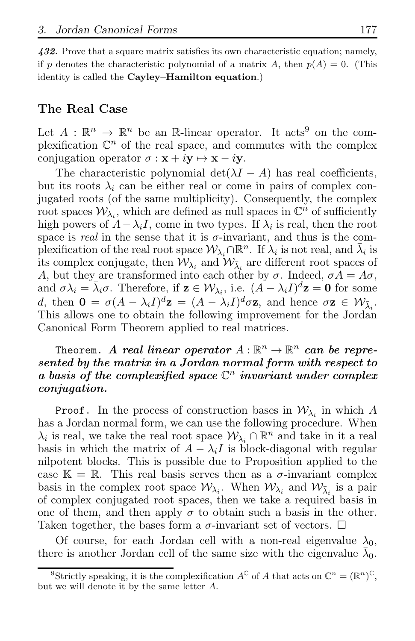432. Prove that a square matrix satisfies its own characteristic equation; namely, if p denotes the characteristic polynomial of a matrix A, then  $p(A) = 0$ . (This identity is called the Cayley-Hamilton equation.)

## The Real Case

Let  $A: \mathbb{R}^n \to \mathbb{R}^n$  be an R-linear operator. It acts<sup>9</sup> on the complexification  $\mathbb{C}^n$  of the real space, and commutes with the complex conjugation operator  $\sigma : \mathbf{x} + i\mathbf{y} \mapsto \mathbf{x} - i\mathbf{y}$ .

The characteristic polynomial  $\det(\lambda I - A)$  has real coefficients, but its roots  $\lambda_i$  can be either real or come in pairs of complex conjugated roots (of the same multiplicity). Consequently, the complex root spaces  $W_{\lambda_i}$ , which are defined as null spaces in  $\mathbb{C}^n$  of sufficiently high powers of  $A - \lambda_i I$ , come in two types. If  $\lambda_i$  is real, then the root space is real in the sense that it is  $\sigma$ -invariant, and thus is the complexification of the real root space  $W_{\lambda_i} \cap \mathbb{R}^n$ . If  $\lambda_i$  is not real, and  $\bar{\lambda}_i$  is its complex conjugate, then  $\mathcal{W}_{\lambda_i}$  and  $\mathcal{W}_{\overline{\lambda}_i}$  are different root spaces of A, but they are transformed into each other by  $\sigma$ . Indeed,  $\sigma A = A\sigma$ , and  $\sigma \lambda_i = \bar{\lambda}_i \sigma$ . Therefore, if  $\mathbf{z} \in \mathcal{W}_{\lambda_i}$ , i.e.  $(A - \lambda_i I)^d \mathbf{z} = \mathbf{0}$  for some d, then  $\mathbf{0} = \sigma (A - \lambda_i I)^d \mathbf{z} = (A - \overline{\lambda}_i I)^d \sigma \mathbf{z}$ , and hence  $\sigma \mathbf{z} \in \mathcal{W}_{\overline{\lambda}_i}$ . This allows one to obtain the following improvement for the Jordan Canonical Form Theorem applied to real matrices.

# Theorem. A real linear operator  $A : \mathbb{R}^n \to \mathbb{R}^n$  can be represented by the matrix in a Jordan normal form with respect to a basis of the complexified space  $\mathbb{C}^n$  invariant under complex conjugation.

**Proof.** In the process of construction bases in  $\mathcal{W}_{\lambda_i}$  in which A has a Jordan normal form, we can use the following procedure. When  $\lambda_i$  is real, we take the real root space  $\mathcal{W}_{\lambda_i} \cap \mathbb{R}^n$  and take in it a real basis in which the matrix of  $A - \lambda_i I$  is block-diagonal with regular nilpotent blocks. This is possible due to Proposition applied to the case  $\mathbb{K} = \mathbb{R}$ . This real basis serves then as a  $\sigma$ -invariant complex basis in the complex root space  $W_{\lambda_i}$ . When  $W_{\lambda_i}$  and  $W_{\bar{\lambda}_i}$  is a pair of complex conjugated root spaces, then we take a required basis in one of them, and then apply  $\sigma$  to obtain such a basis in the other. Taken together, the bases form a  $\sigma$ -invariant set of vectors.  $\Box$ 

Of course, for each Jordan cell with a non-real eigenvalue  $\lambda_0$ , there is another Jordan cell of the same size with the eigenvalue  $\bar{\lambda}_0$ .

<sup>&</sup>lt;sup>9</sup>Strictly speaking, it is the complexification  $A^{\mathbb{C}}$  of A that acts on  $\mathbb{C}^n = (\mathbb{R}^n)^{\mathbb{C}}$ , but we will denote it by the same letter A.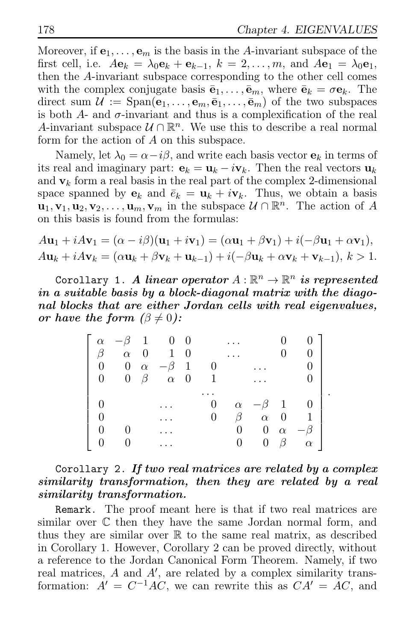.

Moreover, if  $e_1, \ldots, e_m$  is the basis in the A-invariant subspace of the first cell, i.e.  $A\mathbf{e}_k = \lambda_0 \mathbf{e}_k + \mathbf{e}_{k-1}$ ,  $k = 2, \ldots, m$ , and  $A\mathbf{e}_1 = \lambda_0 \mathbf{e}_1$ , then the A-invariant subspace corresponding to the other cell comes with the complex conjugate basis  $\bar{\mathbf{e}}_1, \ldots, \bar{\mathbf{e}}_m$ , where  $\bar{\mathbf{e}}_k = \sigma \mathbf{e}_k$ . The direct sum  $\mathcal{U} := \text{Span}(\mathbf{e}_1, \dots, \mathbf{e}_m, \bar{\mathbf{e}}_1, \dots, \bar{\mathbf{e}}_m)$  of the two subspaces is both  $A$ - and  $\sigma$ -invariant and thus is a complexification of the real A-invariant subspace  $\mathcal{U} \cap \mathbb{R}^n$ . We use this to describe a real normal form for the action of A on this subspace.

Namely, let  $\lambda_0 = \alpha - i\beta$ , and write each basis vector  $\mathbf{e}_k$  in terms of its real and imaginary part:  $\mathbf{e}_k = \mathbf{u}_k - i\mathbf{v}_k$ . Then the real vectors  $\mathbf{u}_k$ and  $v_k$  form a real basis in the real part of the complex 2-dimensional space spanned by  $e_k$  and  $\bar{e}_k = \mathbf{u}_k + i\mathbf{v}_k$ . Thus, we obtain a basis  $\mathbf{u}_1, \mathbf{v}_1, \mathbf{u}_2, \mathbf{v}_2, \ldots, \mathbf{u}_m, \mathbf{v}_m$  in the subspace  $\mathcal{U} \cap \mathbb{R}^n$ . The action of A on this basis is found from the formulas:

$$
A\mathbf{u}_1 + iA\mathbf{v}_1 = (\alpha - i\beta)(\mathbf{u}_1 + i\mathbf{v}_1) = (\alpha \mathbf{u}_1 + \beta \mathbf{v}_1) + i(-\beta \mathbf{u}_1 + \alpha \mathbf{v}_1),
$$
  
\n
$$
A\mathbf{u}_k + iA\mathbf{v}_k = (\alpha \mathbf{u}_k + \beta \mathbf{v}_k + \mathbf{u}_{k-1}) + i(-\beta \mathbf{u}_k + \alpha \mathbf{v}_k + \mathbf{v}_{k-1}), k > 1.
$$

Corollary 1. A linear operator  $A: \mathbb{R}^n \to \mathbb{R}^n$  is represented in a suitable basis by a block-diagonal matrix with the diagonal blocks that are either Jordan cells with real eigenvalues, or have the form  $(\beta \neq 0)$ :

| $\alpha$       | $-\beta$ 1 |           | $0\quad 0$          |                |   |           |                |                |          |
|----------------|------------|-----------|---------------------|----------------|---|-----------|----------------|----------------|----------|
|                | $\alpha$ 0 |           |                     | $1 \quad 0$    |   |           |                |                |          |
| $\overline{0}$ |            |           | 0 $\alpha$ $-\beta$ | $\overline{1}$ |   |           |                |                |          |
| 0              |            | $0 \beta$ | $\alpha$ 0          |                | 1 |           |                |                |          |
|                |            |           |                     |                |   |           |                |                |          |
|                |            |           |                     |                | 0 | $\alpha$  | $-\beta$ 1     |                |          |
|                |            |           |                     |                | 0 | $\beta^-$ | $\alpha$       | $\overline{0}$ |          |
|                |            |           |                     |                |   | $0^-$     | $\overline{0}$ | $\alpha$       |          |
|                |            |           |                     |                |   |           | $\overline{0}$ | $\beta$        | $\alpha$ |

# Corollary 2. If two real matrices are related by a complex similarity transformation, then they are related by a real similarity transformation.

Remark. The proof meant here is that if two real matrices are similar over C then they have the same Jordan normal form, and thus they are similar over  $\mathbb R$  to the same real matrix, as described in Corollary 1. However, Corollary 2 can be proved directly, without a reference to the Jordan Canonical Form Theorem. Namely, if two real matrices,  $A$  and  $A'$ , are related by a complex similarity transformation:  $\vec{A}' = C^{-1}\vec{AC}$ , we can rewrite this as  $CA' = \vec{AC}$ , and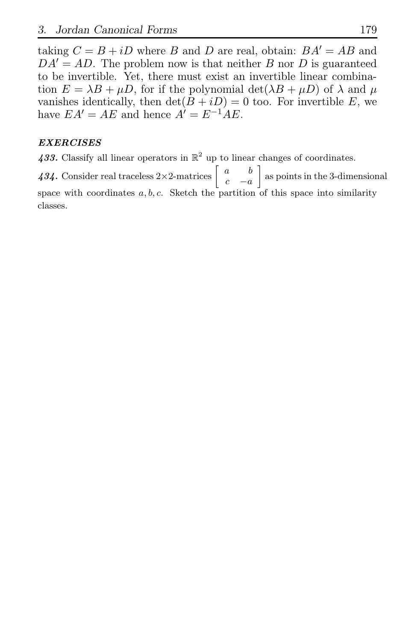taking  $C = B + iD$  where B and D are real, obtain:  $BA' = AB$  and  $DA' = AD$ . The problem now is that neither B nor D is guaranteed to be invertible. Yet, there must exist an invertible linear combination  $E = \lambda B + \mu D$ , for if the polynomial  $\det(\lambda B + \mu D)$  of  $\lambda$  and  $\mu$ vanishes identically, then  $\det(B + iD) = 0$  too. For invertible E, we have  $EA' = AE$  and hence  $A' = E^{-1}AE$ .

### EXERCISES

433. Classify all linear operators in  $\mathbb{R}^2$  up to linear changes of coordinates.

434. Consider real traceless  $2 \times 2$ -matrices  $\begin{bmatrix} a & b \\ c & a \end{bmatrix}$  $c - a$  as points in the 3-dimensional space with coordinates  $a, b, c$ . Sketch the partition of this space into similarity classes.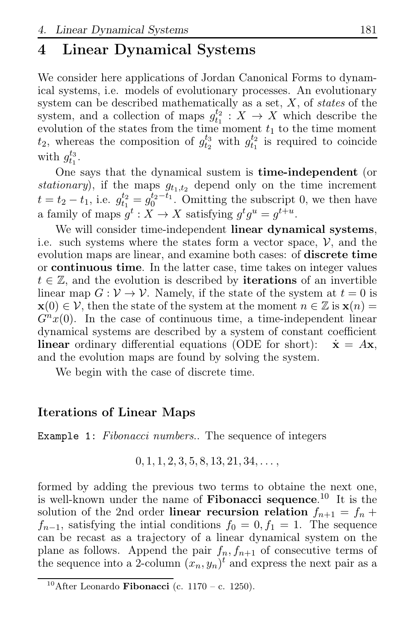# 4 Linear Dynamical Systems

We consider here applications of Jordan Canonical Forms to dynamical systems, i.e. models of evolutionary processes. An evolutionary system can be described mathematically as a set,  $X$ , of states of the system, and a collection of maps  $g_{t_1}^{t_2}$ :  $X \to X$  which describe the evolution of the states from the time moment  $t_1$  to the time moment  $t_2$ , whereas the composition of  $g_{t_2}^{t_3}$  with  $g_{t_1}^{t_2}$  is required to coincide with  $g_{t_1}^{t_3}$ .

One says that the dynamical sustem is time-independent (or stationary), if the maps  $g_{t_1,t_2}$  depend only on the time increment  $t = t_2 - t_1$ , i.e.  $g_{t_1}^{t_2} = g_0^{t_2 - t_1}$ . Omitting the subscript 0, we then have a family of maps  $g^t: X \to X$  satisfying  $g^t g^u = g^{t+u}$ .

We will consider time-independent linear dynamical systems, i.e. such systems where the states form a vector space,  $\mathcal{V}$ , and the evolution maps are linear, and examine both cases: of discrete time or continuous time. In the latter case, time takes on integer values  $t \in \mathbb{Z}$ , and the evolution is described by **iterations** of an invertible linear map  $G: V \to V$ . Namely, if the state of the system at  $t = 0$  is  $\mathbf{x}(0) \in \mathcal{V}$ , then the state of the system at the moment  $n \in \mathbb{Z}$  is  $\mathbf{x}(n) =$  $G^{n}x(0)$ . In the case of continuous time, a time-independent linear dynamical systems are described by a system of constant coefficient **linear** ordinary differential equations (ODE for short):  $\dot{\mathbf{x}} = A\mathbf{x}$ , and the evolution maps are found by solving the system.

We begin with the case of discrete time.

# Iterations of Linear Maps

Example 1: Fibonacci numbers.. The sequence of integers

$$
0, 1, 1, 2, 3, 5, 8, 13, 21, 34, \ldots,
$$

formed by adding the previous two terms to obtaine the next one, is well-known under the name of **Fibonacci sequence**.<sup>10</sup> It is the solution of the 2nd order linear recursion relation  $f_{n+1} = f_n +$  $f_{n-1}$ , satisfying the intial conditions  $f_0 = 0, f_1 = 1$ . The sequence can be recast as a trajectory of a linear dynamical system on the plane as follows. Append the pair  $f_n, f_{n+1}$  of consecutive terms of the sequence into a 2-column  $(x_n, y_n)^t$  and express the next pair as a

 $10$ After Leonardo Fibonacci (c. 1170 – c. 1250).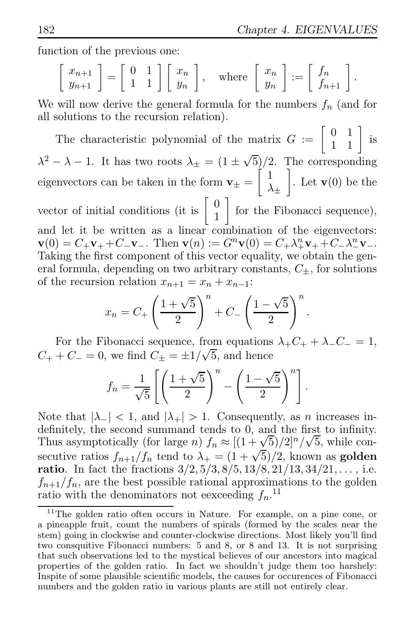function of the previous one:

$$
\begin{bmatrix} x_{n+1} \\ y_{n+1} \end{bmatrix} = \begin{bmatrix} 0 & 1 \\ 1 & 1 \end{bmatrix} \begin{bmatrix} x_n \\ y_n \end{bmatrix}, \text{ where } \begin{bmatrix} x_n \\ y_n \end{bmatrix} := \begin{bmatrix} f_n \\ f_{n+1} \end{bmatrix}.
$$

We will now derive the general formula for the numbers  $f_n$  (and for all solutions to the recursion relation).

The characteristic polynomial of the matrix  $G := \begin{bmatrix} 0 & 1 \\ 1 & 1 \end{bmatrix}$  is  $\lambda^2 - \lambda - 1$ . It has two roots  $\lambda_{\pm} = (1 \pm \sqrt{5})/2$ . The corresponding eigenvectors can be taken in the form  $\mathbf{v}_{\pm} = \begin{bmatrix} 1 \\ 1 \end{bmatrix}$  $\lambda_\pm$ . Let  $\mathbf{v}(0)$  be the vector of initial conditions (it is  $\begin{bmatrix} 0 \\ 1 \end{bmatrix}$ 1 for the Fibonacci sequence), and let it be written as a linear combination of the eigenvectors:  $\mathbf{v}(0) = C_+ \mathbf{v}_+ + C_- \mathbf{v}_-$ . Then  $\mathbf{v}(n) := G^n \mathbf{v}(0) = C_+ \lambda_+^n \mathbf{v}_+ + C_- \lambda_-^n \mathbf{v}_-$ . Taking the first component of this vector equality, we obtain the general formula, depending on two arbitrary constants,  $C_{\pm}$ , for solutions of the recursion relation  $x_{n+1} = x_n + x_{n-1}$ :

$$
x_n = C_+ \left(\frac{1+\sqrt{5}}{2}\right)^n + C_- \left(\frac{1-\sqrt{5}}{2}\right)^n.
$$

For the Fibonacci sequence, from equations  $\lambda_+ C_+ + \lambda_- C_- = 1$ ,  $C_+ + C_- = 0$ , we find  $C_{\pm} = \pm 1/\sqrt{5}$ , and hence

$$
f_n = \frac{1}{\sqrt{5}} \left[ \left( \frac{1+\sqrt{5}}{2} \right)^n - \left( \frac{1-\sqrt{5}}{2} \right)^n \right].
$$

Note that  $|\lambda_-| < 1$ , and  $|\lambda_+| > 1$ . Consequently, as *n* increases indefinitely, the second summand tends to 0, and the first to infinity. Thus asymptotically (for large n)  $f_n \approx [(1 + \sqrt{5})/2]^n/\sqrt{5}$ , while consecutive ratios  $f_{n+1}/f_n$  tend to  $\lambda_+ = (1 + \sqrt{5})/2$ , known as **golden ratio**. In fact the fractions  $3/2$ ,  $5/3$ ,  $8/5$ ,  $13/8$ ,  $21/13$ ,  $34/21$ , ..., i.e.  $f_{n+1}/f_n$ , are the best possible rational approximations to the golden ratio with the denominators not eexceeding  $f_n$ .<sup>11</sup>

<sup>&</sup>lt;sup>11</sup>The golden ratio often occurs in Nature. For example, on a pine cone, or a pineapple fruit, count the numbers of spirals (formed by the scales near the stem) going in clockwise and counter-clockwise directions. Most likely you'll find two consquitive Fibonacci numbers: 5 and 8, or 8 and 13. It is not surprising that such observations led to the mystical believes of our ancestors into magical properties of the golden ratio. In fact we shouldn't judge them too harshely: Inspite of some plausible scientific models, the causes for occurences of Fibonacci numbers and the golden ratio in various plants are still not entirely clear.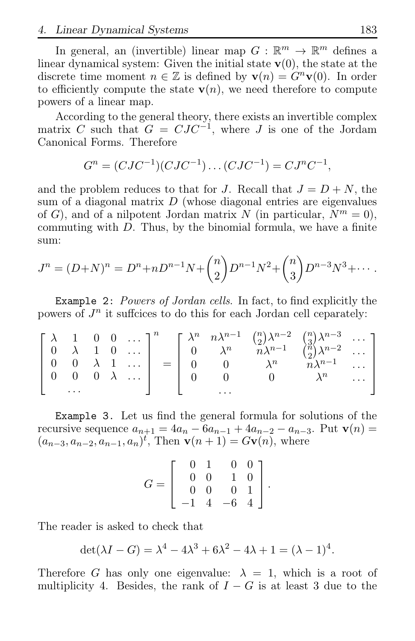4. Linear Dynamical Systems 183

In general, an (invertible) linear map  $G : \mathbb{R}^m \to \mathbb{R}^m$  defines a linear dynamical system: Given the initial state  $v(0)$ , the state at the discrete time moment  $n \in \mathbb{Z}$  is defined by  $\mathbf{v}(n) = G^n \mathbf{v}(0)$ . In order to efficiently compute the state  $\mathbf{v}(n)$ , we need therefore to compute powers of a linear map.

According to the general theory, there exists an invertible complex matrix C such that  $G = CJC^{-1}$ , where J is one of the Jordam Canonical Forms. Therefore

$$
G^{n} = (CJC^{-1})(CJC^{-1})\dots(CJC^{-1}) = CJ^{n}C^{-1},
$$

and the problem reduces to that for J. Recall that  $J = D + N$ , the sum of a diagonal matrix  $D$  (whose diagonal entries are eigenvalues of G), and of a nilpotent Jordan matrix N (in particular,  $N^m = 0$ ), commuting with  $D$ . Thus, by the binomial formula, we have a finite sum:

$$
J^{n} = (D+N)^{n} = D^{n} + nD^{n-1}N + {n \choose 2}D^{n-1}N^{2} + {n \choose 3}D^{n-3}N^{3} + \cdots
$$

Example 2: Powers of Jordan cells. In fact, to find explicitly the powers of  $J<sup>n</sup>$  it suffcices to do this for each Jordan cell ceparately:

|  |          |  |                                                             | $\begin{bmatrix} \lambda & 1 & 0 & 0 & \cdots \end{bmatrix}^n$                                            |                                                                                                           | $= \left[\begin{array}{cccc} \lambda^n & n\lambda^{n-1} & \binom{n}{2}\lambda^{n-2} & \binom{n}{3}\lambda^{n-3} & \cdots \\ 0 & \lambda^n & n\lambda^{n-1} & \binom{n}{2}\lambda^{n-2} & \cdots \\ 0 & 0 & \lambda^n & n\lambda^{n-1} & \cdots \end{array}\right]$ |                        |
|--|----------|--|-------------------------------------------------------------|-----------------------------------------------------------------------------------------------------------|-----------------------------------------------------------------------------------------------------------|--------------------------------------------------------------------------------------------------------------------------------------------------------------------------------------------------------------------------------------------------------------------|------------------------|
|  |          |  |                                                             |                                                                                                           | $\begin{bmatrix} 0 & \lambda & 1 & 0 & \dots \end{bmatrix}$ $\begin{bmatrix} 0 & \lambda^n \end{bmatrix}$ |                                                                                                                                                                                                                                                                    |                        |
|  |          |  | $\begin{bmatrix} 0 & 0 & \lambda & 1 & \dots \end{bmatrix}$ | $\begin{array}{c} \begin{array}{c} \end{array} \end{array}$                                               |                                                                                                           |                                                                                                                                                                                                                                                                    |                        |
|  |          |  |                                                             | $\begin{bmatrix} 0 & 0 & 0 & \lambda & \dots & \end{bmatrix} \qquad \begin{bmatrix} 0 \\ 0 \end{bmatrix}$ |                                                                                                           | $\lambda^n$                                                                                                                                                                                                                                                        | $\sim$ . $\sim$ $\sim$ |
|  | $\cdots$ |  |                                                             |                                                                                                           | $\cdots$                                                                                                  |                                                                                                                                                                                                                                                                    |                        |

Example 3. Let us find the general formula for solutions of the recursive sequence  $a_{n+1} = 4a_n - 6a_{n-1} + 4a_{n-2} - a_{n-3}$ . Put  $\mathbf{v}(n) =$  $(a_{n-3}, a_{n-2}, a_{n-1}, a_n)^t$ , Then  $\mathbf{v}(n+1) = G\mathbf{v}(n)$ , where

$$
G = \left[ \begin{array}{rrr} 0 & 1 & 0 & 0 \\ 0 & 0 & 1 & 0 \\ 0 & 0 & 0 & 1 \\ -1 & 4 & -6 & 4 \end{array} \right].
$$

The reader is asked to check that

$$
\det(\lambda I - G) = \lambda^4 - 4\lambda^3 + 6\lambda^2 - 4\lambda + 1 = (\lambda - 1)^4.
$$

Therefore G has only one eigenvalue:  $\lambda = 1$ , which is a root of multiplicity 4. Besides, the rank of  $I - G$  is at least 3 due to the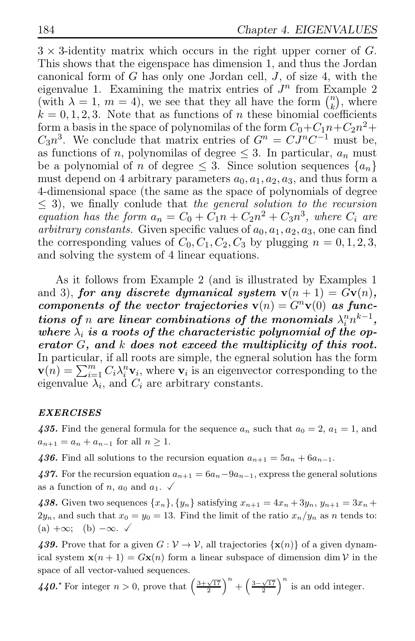$3 \times 3$ -identity matrix which occurs in the right upper corner of G. This shows that the eigenspace has dimension 1, and thus the Jordan canonical form of  $G$  has only one Jordan cell,  $J$ , of size 4, with the eigenvalue 1. Examining the matrix entries of  $J<sup>n</sup>$  from Example 2 (with  $\lambda = 1, m = 4$ ), we see that they all have the form  $\binom{n}{k}$  $\binom{n}{k}$ , where  $k = 0, 1, 2, 3$ . Note that as functions of n these binomial coefficients form a basis in the space of polynomilas of the form  $C_0 + C_1 n + C_2 n^2 +$  $C_3 n^3$ . We conclude that matrix entries of  $G^n = C J^n C^{-1}$  must be, as functions of n, polynomilas of degree  $\leq$  3. In particular,  $a_n$  must be a polynomial of n of degree  $\leq$  3. Since solution sequences  $\{a_n\}$ must depend on 4 arbitrary parameters  $a_0, a_1, a_2, a_3$ , and thus form a 4-dimensional space (the same as the space of polynomials of degree  $\leq$  3), we finally conlude that the general solution to the recursion equation has the form  $a_n = C_0 + \tilde{C_1}n + C_2n^2 + C_3n^3$ , where  $C_i$  are arbitrary constants. Given specific values of  $a_0, a_1, a_2, a_3$ , one can find the corresponding values of  $C_0$ ,  $C_1$ ,  $C_2$ ,  $C_3$  by plugging  $n = 0, 1, 2, 3$ , and solving the system of 4 linear equations.

As it follows from Example 2 (and is illustrated by Examples 1 and 3), for any discrete dymanical system  $v(n + 1) = Gv(n)$ , components of the vector trajectories  $\mathbf{v}(n) = G^n \mathbf{v}(0)$  as functions of n are linear combinations of the monomials  $\lambda_i^n n^{k-1}$ , where  $\lambda_i$  is a roots of the characteristic polynomial of the operator G, and k does not exceed the multiplicity of this root. In particular, if all roots are simple, the egneral solution has the form  $\mathbf{v}(n) = \sum_{i=1}^{m} C_i \lambda_i^n \mathbf{v}_i$ , where  $\mathbf{v}_i$  is an eigenvector corresponding to the eigenvalue  $\lambda_i$ , and  $C_i$  are arbitrary constants.

### EXERCISES

435. Find the general formula for the sequence  $a_n$  such that  $a_0 = 2$ ,  $a_1 = 1$ , and  $a_{n+1} = a_n + a_{n-1}$  for all  $n \geq 1$ .

436. Find all solutions to the recursion equation  $a_{n+1} = 5a_n + 6a_{n-1}$ .

437. For the recursion equation  $a_{n+1} = 6a_n - 9a_{n-1}$ , express the general solutions as a function of n,  $a_0$  and  $a_1$ .  $\checkmark$ 

438. Given two sequences  $\{x_n\}, \{y_n\}$  satisfying  $x_{n+1} = 4x_n + 3y_n$ ,  $y_{n+1} = 3x_n +$  $2y_n$ , and such that  $x_0 = y_0 = 13$ . Find the limit of the ratio  $x_n/y_n$  as n tends to:  $(a) + \infty$ ; (b)  $-\infty$ .  $\checkmark$ 

439. Prove that for a given  $G: V \to V$ , all trajectories  $\{x(n)\}\$  of a given dynamical system  $\mathbf{x}(n+1) = G\mathbf{x}(n)$  form a linear subspace of dimension dim V in the space of all vector-valued sequences.

440.<sup>★</sup> For integer  $n > 0$ , prove that  $\left(\frac{3+\sqrt{17}}{2}\right)^n + \left(\frac{3-\sqrt{17}}{2}\right)^n$  is an odd integer.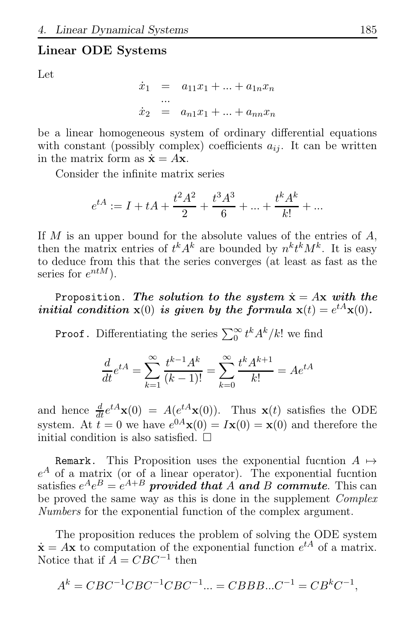## Linear ODE Systems

Let

$$
\dot{x}_1 = a_{11}x_1 + ... + a_{1n}x_n
$$
  
\n...  
\n
$$
\dot{x}_2 = a_{n1}x_1 + ... + a_{nn}x_n
$$

be a linear homogeneous system of ordinary differential equations with constant (possibly complex) coefficients  $a_{ij}$ . It can be written in the matrix form as  $\dot{\mathbf{x}} = A\mathbf{x}$ .

Consider the infinite matrix series

$$
e^{tA} := I + tA + \frac{t^2A^2}{2} + \frac{t^3A^3}{6} + \dots + \frac{t^kA^k}{k!} + \dots
$$

If  $M$  is an upper bound for the absolute values of the entries of  $A$ , then the matrix entries of  $t^k A^k$  are bounded by  $n^k t^k M^k$ . It is easy to deduce from this that the series converges (at least as fast as the series for  $e^{ntM}$ ).

Proposition. The solution to the system  $\dot{x} = Ax$  with the initial condition  $\mathbf{x}(0)$  is given by the formula  $\mathbf{x}(t) = e^{tA}\mathbf{x}(0)$ .

**Proof.** Differentiating the series  $\sum_{0}^{\infty} t^{k} A^{k}/k!$  we find

$$
\frac{d}{dt}e^{tA} = \sum_{k=1}^{\infty} \frac{t^{k-1}A^k}{(k-1)!} = \sum_{k=0}^{\infty} \frac{t^kA^{k+1}}{k!} = Ae^{tA}
$$

and hence  $\frac{d}{dt}e^{tA}\mathbf{x}(0) = A(e^{tA}\mathbf{x}(0))$ . Thus  $\mathbf{x}(t)$  satisfies the ODE system. At  $t = 0$  we have  $e^{0A} \mathbf{x}(0) = I \mathbf{x}(0) = \mathbf{x}(0)$  and therefore the initial condition is also satisfied.  $\Box$ 

Remark. This Proposition uses the exponential fucntion  $A \mapsto$  $e^A$  of a matrix (or of a linear operator). The exponential fucntion satisfies  $e^{A}e^{B}=e^{A+B}$  provided that A and B commute. This can be proved the same way as this is done in the supplement *Complex* Numbers for the exponential function of the complex argument.

The proposition reduces the problem of solving the ODE system  $\dot{\mathbf{x}} = A\mathbf{x}$  to computation of the exponential function  $e^{tA}$  of a matrix. Notice that if  $\overline{A} = CBC^{-1}$  then

$$
Ak = CBC-1CBC-1CBC-1... = CBBB...C-1 = CBkC-1,
$$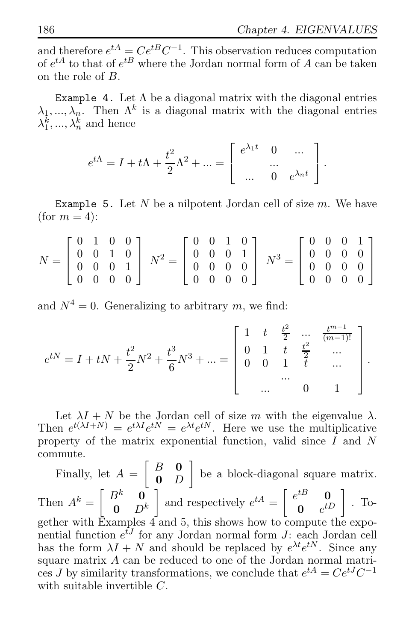and therefore  $e^{tA} = Ce^{tB}C^{-1}$ . This observation reduces computation of  $e^{tA}$  to that of  $e^{tB}$  where the Jordan normal form of A can be taken on the role of B.

Example 4. Let  $\Lambda$  be a diagonal matrix with the diagonal entries  $\lambda_1, ..., \lambda_n$ . Then  $\Lambda^k$  is a diagonal matrix with the diagonal entries  $\lambda_1^k, ..., \lambda_n^k$  and hence

$$
e^{t\Lambda} = I + t\Lambda + \frac{t^2}{2}\Lambda^2 + \dots = \begin{bmatrix} e^{\lambda_1 t} & 0 & \dots \\ \dots & \dots & \dots \\ \dots & 0 & e^{\lambda_n t} \end{bmatrix}.
$$

Example 5. Let  $N$  be a nilpotent Jordan cell of size  $m$ . We have (for  $m = 4$ ):

$$
N = \begin{bmatrix} 0 & 1 & 0 & 0 \\ 0 & 0 & 1 & 0 \\ 0 & 0 & 0 & 1 \\ 0 & 0 & 0 & 0 \end{bmatrix} N^2 = \begin{bmatrix} 0 & 0 & 1 & 0 \\ 0 & 0 & 0 & 1 \\ 0 & 0 & 0 & 0 \\ 0 & 0 & 0 & 0 \end{bmatrix} N^3 = \begin{bmatrix} 0 & 0 & 0 & 1 \\ 0 & 0 & 0 & 0 \\ 0 & 0 & 0 & 0 \\ 0 & 0 & 0 & 0 \end{bmatrix}
$$

and  $N^4 = 0$ . Generalizing to arbitrary m, we find:

$$
e^{tN} = I + tN + \frac{t^2}{2}N^2 + \frac{t^3}{6}N^3 + \dots = \begin{bmatrix} 1 & t & \frac{t^2}{2} & \dots & \frac{t^{m-1}}{(m-1)!} \\ 0 & 1 & t & \frac{t^2}{2} & \dots \\ 0 & 0 & 1 & t & \dots \\ \dots & \dots & 0 & 1 \end{bmatrix}.
$$

Let  $\lambda I + N$  be the Jordan cell of size m with the eigenvalue  $\lambda$ . Then  $e^{t(\lambda I+N)} = e^{t\lambda I}e^{tN} = e^{\lambda t}e^{tN}$ . Here we use the multiplicative property of the matrix exponential function, valid since  $I$  and  $N$ commute.

Finally, let  $A = \begin{bmatrix} B & \mathbf{0} \\ \mathbf{0} & C \end{bmatrix}$ 0 D be a block-diagonal square matrix. Then  $A^k = \begin{bmatrix} B^k & \mathbf{0} \\ \mathbf{0} & D^k \end{bmatrix}$  $\mathbf{0}$   $D^k$ and respectively  $e^{tA} = \begin{bmatrix} e^{tB} & \mathbf{0} \\ \mathbf{0} & e^{tB} \end{bmatrix}$  $\begin{bmatrix} t B & \mathbf{0} \ \mathbf{0} & e^{t D} \end{bmatrix}$  . Together with Examples  $\vec{4}$  and 5, this shows how to compute the exponential function  $e^{\bar{t}J}$  for any Jordan normal form J: each Jordan cell has the form  $\lambda I + N$  and should be replaced by  $e^{\lambda t}e^{tN}$ . Since any square matrix A can be reduced to one of the Jordan normal matrices J by similarity transformations, we conclude that  $e^{tA} = Ce^{tJ}C^{-1}$ with suitable invertible C.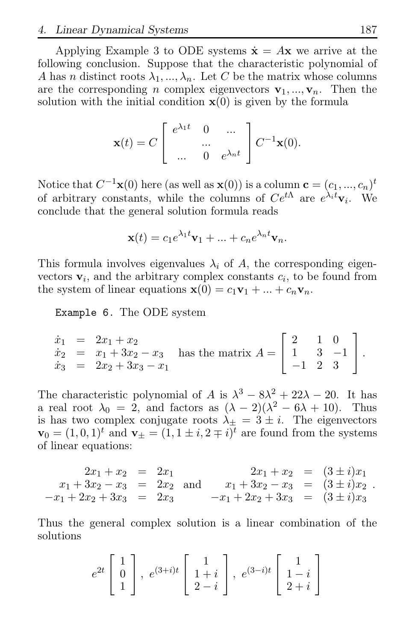Applying Example 3 to ODE systems  $\dot{\mathbf{x}} = A\mathbf{x}$  we arrive at the following conclusion. Suppose that the characteristic polynomial of A has n distinct roots  $\lambda_1, ..., \lambda_n$ . Let C be the matrix whose columns are the corresponding n complex eigenvectors  $v_1, ..., v_n$ . Then the solution with the initial condition  $\mathbf{x}(0)$  is given by the formula

$$
\mathbf{x}(t) = C \begin{bmatrix} e^{\lambda_1 t} & 0 & \dots \\ & \dots & 0 & e^{\lambda_n t} \end{bmatrix} C^{-1} \mathbf{x}(0).
$$

Notice that  $C^{-1}\mathbf{x}(0)$  here (as well as  $\mathbf{x}(0)$ ) is a column  $\mathbf{c} = (c_1, ..., c_n)^t$ of arbitrary constants, while the columns of  $Ce^{t\Lambda}$  are  $e^{\lambda_i t}$  V<sub>i</sub>. We conclude that the general solution formula reads

$$
\mathbf{x}(t) = c_1 e^{\lambda_1 t} \mathbf{v}_1 + \dots + c_n e^{\lambda_n t} \mathbf{v}_n.
$$

This formula involves eigenvalues  $\lambda_i$  of A, the corresponding eigenvectors  $v_i$ , and the arbitrary complex constants  $c_i$ , to be found from the system of linear equations  $\mathbf{x}(0) = c_1 \mathbf{v}_1 + ... + c_n \mathbf{v}_n$ .

Example 6. The ODE system

$$
\begin{array}{rcl}\n\dot{x}_1 &=& 2x_1 + x_2 \\
\dot{x}_2 &=& x_1 + 3x_2 - x_3 \\
\dot{x}_3 &=& 2x_2 + 3x_3 - x_1\n\end{array}
$$
 has the matrix  $A = \begin{bmatrix} 2 & 1 & 0 \\
1 & 3 & -1 \\
-1 & 2 & 3 \end{bmatrix}$ .

The characteristic polynomial of A is  $\lambda^3 - 8\lambda^2 + 22\lambda - 20$ . It has a real root  $\lambda_0 = 2$ , and factors as  $(\lambda - 2)(\lambda^2 - 6\lambda + 10)$ . Thus is has two complex conjugate roots  $\lambda_{\pm} = 3 \pm i$ . The eigenvectors  $\mathbf{v}_0 = (1, 0, 1)^t$  and  $\mathbf{v}_\pm = (1, 1 \pm i, 2 \mp i)^t$  are found from the systems of linear equations:

$$
2x_1 + x_2 = 2x_1
$$
  
\n
$$
x_1 + 3x_2 - x_3 = 2x_2
$$
 and 
$$
x_1 + 3x_2 - x_3 = (3 \pm i)x_1
$$
  
\n
$$
-x_1 + 2x_2 + 3x_3 = 2x_3
$$
 and 
$$
x_1 + 3x_2 - x_3 = (3 \pm i)x_2
$$
  
\n
$$
-x_1 + 2x_2 + 3x_3 = (3 \pm i)x_3
$$

Thus the general complex solution is a linear combination of the solutions

$$
e^{2t}\begin{bmatrix} 1\\0\\1 \end{bmatrix}, e^{(3+i)t}\begin{bmatrix} 1\\1+i\\2-i \end{bmatrix}, e^{(3-i)t}\begin{bmatrix} 1\\1-i\\2+i \end{bmatrix}
$$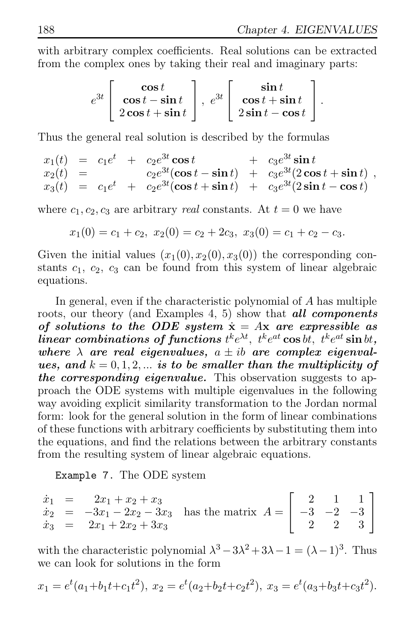with arbitrary complex coefficients. Real solutions can be extracted from the complex ones by taking their real and imaginary parts:

$$
e^{3t}\left[\begin{array}{c}\cos t\\ \cos t-\sin t\\ 2\cos t+\sin t\end{array}\right],\ e^{3t}\left[\begin{array}{c}\sin t\\ \cos t+\sin t\\ 2\sin t-\cos t\end{array}\right].
$$

Thus the general real solution is described by the formulas

 $x_1(t) = c_1 e^t + c_2 e^{3t} \cos t + c_3 e^{3t} \sin t$  $x_2(t) = c_2 e^{3t} (\cos t - \sin t) + c_3 e^{3t} (2 \cos t + \sin t)$  $x_3(t) = c_1 e^t + c_2 e^{3t} (\cos t + \sin t) + c_3 e^{3t} (2 \sin t - \cos t)$ ,

where  $c_1, c_2, c_3$  are arbitrary *real* constants. At  $t = 0$  we have

$$
x_1(0) = c_1 + c_2, x_2(0) = c_2 + 2c_3, x_3(0) = c_1 + c_2 - c_3.
$$

Given the initial values  $(x_1(0), x_2(0), x_3(0))$  the corresponding constants  $c_1, c_2, c_3$  can be found from this system of linear algebraic equations.

In general, even if the characteristic polynomial of A has multiple roots, our theory (and Examples 4, 5) show that **all components** of solutions to the ODE system  $\dot{x} = Ax$  are expressible as  $linear\ combinations\ of\ functions\ t^k e^{\lambda t},\ t^k e^{at}\cos bt,\ t^k e^{at}\sin bt,$ where  $\lambda$  are real eigenvalues,  $a \pm ib$  are complex eigenvalues, and  $k = 0, 1, 2, \ldots$  is to be smaller than the multiplicity of the corresponding eigenvalue. This observation suggests to approach the ODE systems with multiple eigenvalues in the following way avoiding explicit similarity transformation to the Jordan normal form: look for the general solution in the form of linear combinations of these functions with arbitrary coefficients by substituting them into the equations, and find the relations between the arbitrary constants from the resulting system of linear algebraic equations.

Example 7. The ODE system

$$
\begin{array}{rcl}\n\dot{x}_1 &=& 2x_1 + x_2 + x_3 \\
\dot{x}_2 &=& -3x_1 - 2x_2 - 3x_3 \\
\dot{x}_3 &=& 2x_1 + 2x_2 + 3x_3\n\end{array}
$$
 has the matrix  $A = \begin{bmatrix} 2 & 1 & 1 \\
-3 & -2 & -3 \\
2 & 2 & 3 \end{bmatrix}$ 

with the characteristic polynomial  $\lambda^3 - 3\lambda^2 + 3\lambda - 1 = (\lambda - 1)^3$ . Thus we can look for solutions in the form

$$
x_1 = e^t(a_1+b_1t+c_1t^2), x_2 = e^t(a_2+b_2t+c_2t^2), x_3 = e^t(a_3+b_3t+c_3t^2).
$$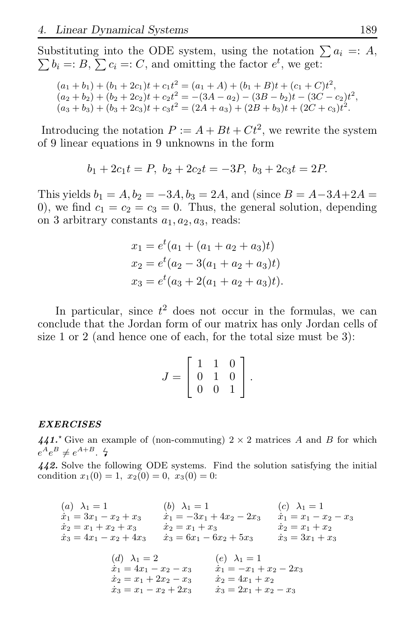Substituting into the ODE system, using the notation  $\sum a_i =: A$ ,  $\sum b_i =: B, \sum c_i =: C$ , and omitting the factor  $e^t$ , we get:

$$
(a_1 + b_1) + (b_1 + 2c_1)t + c_1t^2 = (a_1 + A) + (b_1 + B)t + (c_1 + C)t^2,
$$
  
\n
$$
(a_2 + b_2) + (b_2 + 2c_2)t + c_2t^2 = -(3A - a_2) - (3B - b_2)t - (3C - c_2)t^2,
$$
  
\n
$$
(a_3 + b_3) + (b_3 + 2c_3)t + c_3t^2 = (2A + a_3) + (2B + b_3)t + (2C + c_3)t^2.
$$

Introducing the notation  $P := A + Bt + Ct^2$ , we rewrite the system of 9 linear equations in 9 unknowns in the form

$$
b_1 + 2c_1t = P, \ b_2 + 2c_2t = -3P, \ b_3 + 2c_3t = 2P.
$$

This yields  $b_1 = A$ ,  $b_2 = -3A$ ,  $b_3 = 2A$ , and (since  $B = A-3A+2A =$ 0), we find  $c_1 = c_2 = c_3 = 0$ . Thus, the general solution, depending on 3 arbitrary constants  $a_1, a_2, a_3$ , reads:

$$
x_1 = e^t(a_1 + (a_1 + a_2 + a_3)t)
$$
  
\n
$$
x_2 = e^t(a_2 - 3(a_1 + a_2 + a_3)t)
$$
  
\n
$$
x_3 = e^t(a_3 + 2(a_1 + a_2 + a_3)t).
$$

In particular, since  $t^2$  does not occur in the formulas, we can conclude that the Jordan form of our matrix has only Jordan cells of size 1 or 2 (and hence one of each, for the total size must be 3):

$$
J = \left[ \begin{array}{rrr} 1 & 1 & 0 \\ 0 & 1 & 0 \\ 0 & 0 & 1 \end{array} \right].
$$

#### EXERCISES

441.<sup> $\star$ </sup> Give an example of (non-commuting)  $2 \times 2$  matrices A and B for which  $e^A e^B \neq e^{A+B}$ .  $\sharp$ 

442. Solve the following ODE systems. Find the solution satisfying the initial condition  $x_1(0) = 1$ ,  $x_2(0) = 0$ ,  $x_3(0) = 0$ :

| (a) $\lambda_1=1$               | (b) $\lambda_1 = 1$               | $(c)$ $\lambda_1 = 1$         |
|---------------------------------|-----------------------------------|-------------------------------|
| $\dot{x}_1 = 3x_1 - x_2 + x_3$  | $\dot{x}_1 = -3x_1 + 4x_2 - 2x_3$ | $\dot{x}_1 = x_1 - x_2 - x_3$ |
| $\dot{x}_2 = x_1 + x_2 + x_3$   | $\dot{x}_2 = x_1 + x_3$           | $x_2 = x_1 + x_2$             |
| $\dot{x}_3 = 4x_1 - x_2 + 4x_3$ | $\dot{x}_3 = 6x_1 - 6x_2 + 5x_3$  | $\dot{x}_3 = 3x_1 + x_3$      |
|                                 |                                   |                               |
| (d) $\lambda_1=2$               | $(e)$ $\lambda_1 = 1$             |                               |
| $\dot{x}_1 = 4x_1 - x_2 - x_3$  | $\dot{x}_1 = -x_1 + x_2 - 2x_3$   |                               |
|                                 |                                   |                               |

$$
\begin{array}{ll}\n\dot{x}_2 = x_1 + 2x_2 - x_3 & \dot{x}_2 = 4x_1 + x_2 \\
\dot{x}_3 = x_1 - x_2 + 2x_3 & \dot{x}_3 = 2x_1 + x_2 - x_3\n\end{array}
$$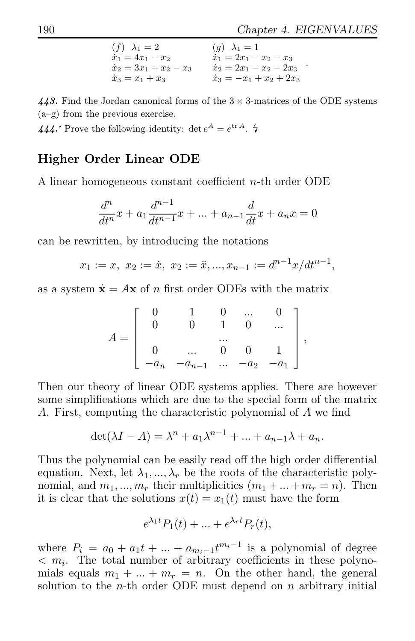.

$$
(f) \lambda_1 = 2 \qquad (g) \lambda_1 = 1 \n\dot{x}_1 = 4x_1 - x_2 \qquad \dot{x}_1 = 2x_1 - x_2 - x_3 \n\dot{x}_2 = 3x_1 + x_2 - x_3 \qquad \dot{x}_2 = 2x_1 - x_2 - 2x_3 \n\dot{x}_3 = x_1 + x_3 \qquad \dot{x}_3 = -x_1 + x_2 + 2x_3
$$

443. Find the Jordan canonical forms of the  $3 \times 3$ -matrices of the ODE systems (a–g) from the previous exercise.

444.<sup>\*</sup> Prove the following identity:  $\det e^A = e^{\text{tr }A}$ .  $\sharp$ 

# Higher Order Linear ODE

A linear homogeneous constant coefficient n-th order ODE

$$
\frac{d^{n}}{dt^{n}}x + a_{1}\frac{d^{n-1}}{dt^{n-1}}x + \dots + a_{n-1}\frac{d}{dt}x + a_{n}x = 0
$$

can be rewritten, by introducing the notations

$$
x_1 := x, \ x_2 := \dot{x}, \ x_2 := \ddot{x}, ..., x_{n-1} := d^{n-1}x/dt^{n-1},
$$

as a system  $\dot{\mathbf{x}} = A\mathbf{x}$  of *n* first order ODEs with the matrix

$$
A = \left[\begin{array}{ccccc} 0 & 1 & 0 & \ldots & 0 \\ 0 & 0 & 1 & 0 & \ldots \\ & & \ldots & & \\ 0 & \ldots & 0 & 0 & 1 \\ -a_n & -a_{n-1} & \ldots & -a_2 & -a_1 \end{array}\right],
$$

Then our theory of linear ODE systems applies. There are however some simplifications which are due to the special form of the matrix A. First, computing the characteristic polynomial of A we find

$$
\det(\lambda I - A) = \lambda^n + a_1 \lambda^{n-1} + \dots + a_{n-1} \lambda + a_n.
$$

Thus the polynomial can be easily read off the high order differential equation. Next, let  $\lambda_1, ..., \lambda_r$  be the roots of the characteristic polynomial, and  $m_1, ..., m_r$  their multiplicities  $(m_1 + ... + m_r = n)$ . Then it is clear that the solutions  $x(t) = x_1(t)$  must have the form

$$
e^{\lambda_1 t} P_1(t) + \dots + e^{\lambda_r t} P_r(t),
$$

where  $P_i = a_0 + a_1t + \dots + a_{m_i-1}t^{m_i-1}$  is a polynomial of degree  $m_i$ . The total number of arbitrary coefficients in these polynomials equals  $m_1 + ... + m_r = n$ . On the other hand, the general solution to the *n*-th order ODE must depend on  $n$  arbitrary initial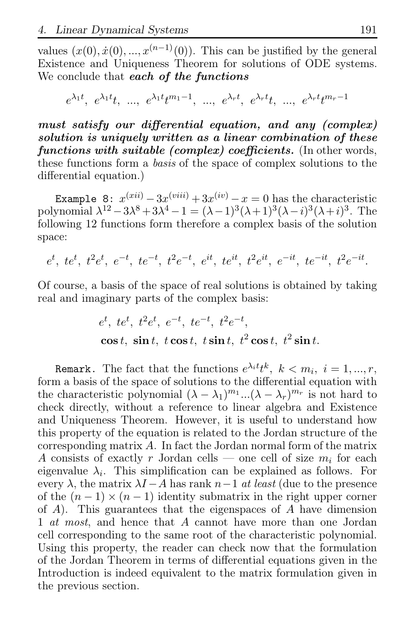values  $(x(0), \dot{x}(0), \dots, x^{(n-1)}(0))$ . This can be justified by the general Existence and Uniqueness Theorem for solutions of ODE systems. We conclude that each of the functions

 $e^{\lambda_1 t}$ ,  $e^{\lambda_1 t}t$ , ...,  $e^{\lambda_1 t}t^{m_1-1}$ , ...,  $e^{\lambda_r t}$ ,  $e^{\lambda_r t}t$ , ...,  $e^{\lambda_r t}t^{m_r-1}$ 

must satisfy our differential equation, and any (complex) solution is uniquely written as a linear combination of these functions with suitable (complex) coefficients. (In other words, these functions form a basis of the space of complex solutions to the differential equation.)

Example 8:  $x^{(xii)} - 3x^{(viii)} + 3x^{(iv)} - x = 0$  has the characteristic polynomial  $\lambda^{12} - 3\lambda^8 + 3\lambda^4 - 1 = (\lambda - 1)^3 (\lambda + 1)^3 (\lambda - i)^3 (\lambda + i)^3$ . The following 12 functions form therefore a complex basis of the solution space:

 $e^{t}, t e^{t}, t^{2} e^{t}, e^{-t}, t e^{-t}, t^{2} e^{-t}, e^{it}, t e^{it}, t^{2} e^{it}, e^{-it}, t e^{-it}, t^{2} e^{-it}.$ 

Of course, a basis of the space of real solutions is obtained by taking real and imaginary parts of the complex basis:

$$
e^{t}
$$
,  $te^{t}$ ,  $t^{2}e^{t}$ ,  $e^{-t}$ ,  $te^{-t}$ ,  $t^{2}e^{-t}$ ,  
\n $\cos t$ ,  $\sin t$ ,  $t \cos t$ ,  $t \sin t$ ,  $t^{2} \cos t$ ,  $t^{2} \sin t$ .

Remark. The fact that the functions  $e^{\lambda_i t}t^k$ ,  $k < m_i$ ,  $i = 1, ..., r$ , form a basis of the space of solutions to the differential equation with the characteristic polynomial  $(\lambda - \lambda_1)^{m_1}$ ... $(\lambda - \lambda_r)^{m_r}$  is not hard to check directly, without a reference to linear algebra and Existence and Uniqueness Theorem. However, it is useful to understand how this property of the equation is related to the Jordan structure of the corresponding matrix A. In fact the Jordan normal form of the matrix A consists of exactly r Jordan cells — one cell of size  $m_i$  for each eigenvalue  $\lambda_i$ . This simplification can be explained as follows. For every  $\lambda$ , the matrix  $\lambda I - A$  has rank  $n-1$  at least (due to the presence of the  $(n-1) \times (n-1)$  identity submatrix in the right upper corner of  $A$ ). This guarantees that the eigenspaces of  $A$  have dimension 1 *at most*, and hence that A cannot have more than one Jordan cell corresponding to the same root of the characteristic polynomial. Using this property, the reader can check now that the formulation of the Jordan Theorem in terms of differential equations given in the Introduction is indeed equivalent to the matrix formulation given in the previous section.